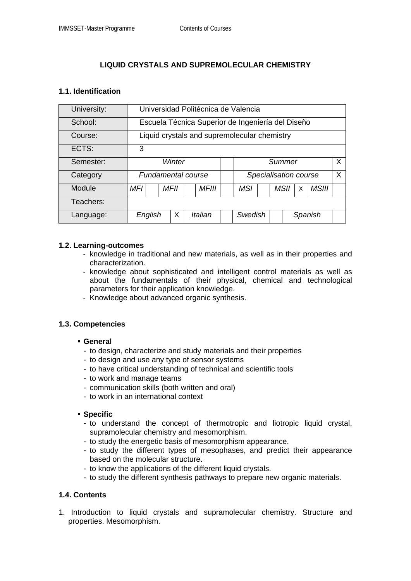# **LIQUID CRYSTALS AND SUPREMOLECULAR CHEMISTRY**

### **1.1. Identification**

| University: | Universidad Politécnica de Valencia               |         |      |              |  |                       |  |  |         |   |              |         |
|-------------|---------------------------------------------------|---------|------|--------------|--|-----------------------|--|--|---------|---|--------------|---------|
| School:     | Escuela Técnica Superior de Ingeniería del Diseño |         |      |              |  |                       |  |  |         |   |              |         |
| Course:     | Liquid crystals and supremolecular chemistry      |         |      |              |  |                       |  |  |         |   |              |         |
| ECTS:       | 3                                                 |         |      |              |  |                       |  |  |         |   |              |         |
| Semester:   | Winter                                            |         |      |              |  | Summer                |  |  |         |   |              |         |
| Category    | <b>Fundamental course</b>                         |         |      |              |  | Specialisation course |  |  |         |   |              | $\sf X$ |
| Module      | MFI                                               |         | MFII | <i>MFIII</i> |  | <b>MSI</b>            |  |  | MSII    | X | <b>MSIII</b> |         |
| Teachers:   |                                                   |         |      |              |  |                       |  |  |         |   |              |         |
| Language:   |                                                   | English | X    | Italian      |  | Swedish               |  |  | Spanish |   |              |         |

### **1.2. Learning-outcomes**

- knowledge in traditional and new materials, as well as in their properties and characterization.
- knowledge about sophisticated and intelligent control materials as well as about the fundamentals of their physical, chemical and technological parameters for their application knowledge.
- Knowledge about advanced organic synthesis.

# **1.3. Competencies**

#### **General**

- to design, characterize and study materials and their properties
- to design and use any type of sensor systems
- to have critical understanding of technical and scientific tools
- to work and manage teams
- communication skills (both written and oral)
- to work in an international context

#### **Specific**

- to understand the concept of thermotropic and liotropic liquid crystal, supramolecular chemistry and mesomorphism.
- to study the energetic basis of mesomorphism appearance.
- to study the different types of mesophases, and predict their appearance based on the molecular structure.
- to know the applications of the different liquid crystals.
- to study the different synthesis pathways to prepare new organic materials.

# **1.4. Contents**

1. Introduction to liquid crystals and supramolecular chemistry. Structure and properties. Mesomorphism.